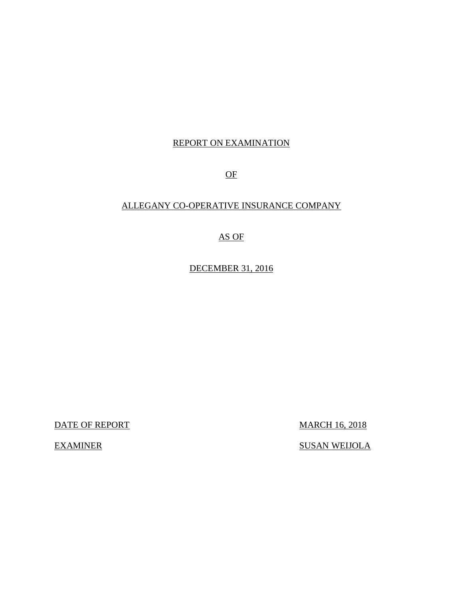# REPORT ON EXAMINATION

OF

# ALLEGANY CO-OPERATIVE INSURANCE COMPANY

# AS OF

DECEMBER 31, 2016

DATE OF REPORT MARCH 16, 2018

EXAMINER SUSAN WEIJOLA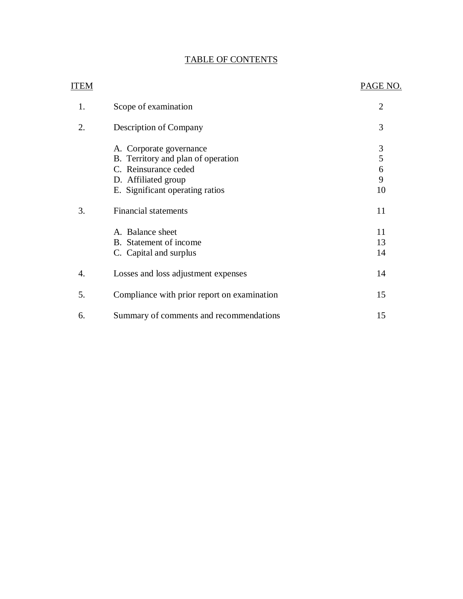# TABLE OF CONTENTS

| <b>ITEM</b> |                                                               | PAGE NO.            |
|-------------|---------------------------------------------------------------|---------------------|
| 1.          | Scope of examination                                          | $\overline{2}$      |
| 2.          | Description of Company                                        | 3                   |
|             | A. Corporate governance<br>B. Territory and plan of operation | $\mathfrak{Z}$<br>5 |
|             | C. Reinsurance ceded                                          | $\boldsymbol{6}$    |
|             | D. Affiliated group                                           | 9                   |
|             | E. Significant operating ratios                               | 10                  |
| 3.          | <b>Financial statements</b>                                   | 11                  |
|             | A. Balance sheet                                              | 11                  |
|             | B. Statement of income                                        | 13                  |
|             | C. Capital and surplus                                        | 14                  |
| 4.          | Losses and loss adjustment expenses                           | 14                  |
| 5.          | Compliance with prior report on examination                   | 15                  |
| 6.          | Summary of comments and recommendations                       | 15                  |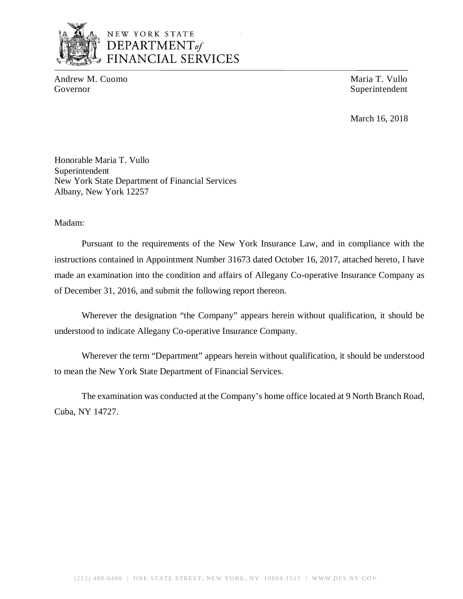

# NEW YORK STATE *DEPARTMENTof*  FINANCIAL SERVICES

Andrew M. Cuomo Maria T. Vullo Governor Superintendent Superintendent

March 16, 2018

Honorable Maria T. Vullo Superintendent New York State Department of Financial Services Albany, New York 12257

Madam:

Pursuant to the requirements of the New York Insurance Law, and in compliance with the instructions contained in Appointment Number 31673 dated October 16, 2017, attached hereto, I have made an examination into the condition and affairs of Allegany Co-operative Insurance Company as of December 31, 2016, and submit the following report thereon.

Wherever the designation "the Company" appears herein without qualification, it should be understood to indicate Allegany Co-operative Insurance Company.

Wherever the term "Department" appears herein without qualification, it should be understood to mean the New York State Department of Financial Services.

The examination was conducted at the Company's home office located at 9 North Branch Road, Cuba, NY 14727.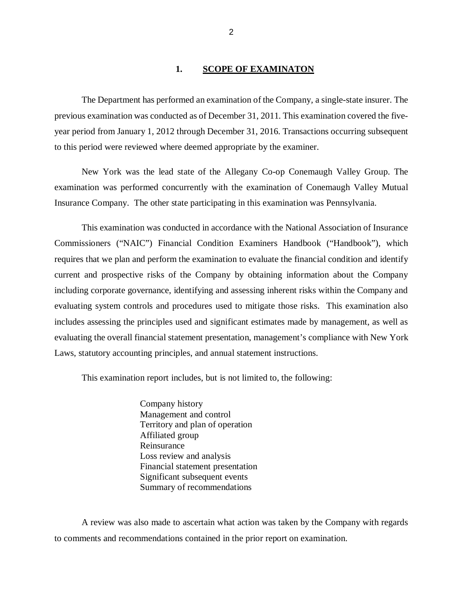#### 1. **SCOPE OF EXAMINATON**

The Department has performed an examination of the Company*,* a single-state insurer. The previous examination was conducted as of December 31, 2011. This examination covered the fiveyear period from January 1, 2012 through December 31, 2016. Transactions occurring subsequent to this period were reviewed where deemed appropriate by the examiner.

New York was the lead state of the Allegany Co-op Conemaugh Valley Group. The examination was performed concurrently with the examination of Conemaugh Valley Mutual Insurance Company. The other state participating in this examination was Pennsylvania.

This examination was conducted in accordance with the National Association of Insurance Commissioners ("NAIC") Financial Condition Examiners Handbook ("Handbook"), which requires that we plan and perform the examination to evaluate the financial condition and identify current and prospective risks of the Company by obtaining information about the Company including corporate governance, identifying and assessing inherent risks within the Company and evaluating system controls and procedures used to mitigate those risks. This examination also includes assessing the principles used and significant estimates made by management, as well as evaluating the overall financial statement presentation, management's compliance with New York Laws, statutory accounting principles, and annual statement instructions.

This examination report includes, but is not limited to, the following:

Company history Management and control Territory and plan of operation Affiliated group Reinsurance Loss review and analysis Financial statement presentation Significant subsequent events Summary of recommendations

A review was also made to ascertain what action was taken by the Company with regards to comments and recommendations contained in the prior report on examination.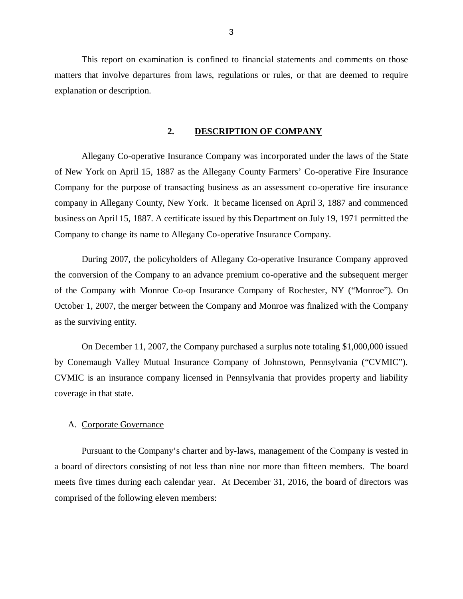<span id="page-4-0"></span>This report on examination is confined to financial statements and comments on those matters that involve departures from laws, regulations or rules, or that are deemed to require explanation or description.

#### **2. DESCRIPTION OF COMPANY**

Allegany Co-operative Insurance Company was incorporated under the laws of the State of New York on April 15, 1887 as the Allegany County Farmers' Co-operative Fire Insurance Company for the purpose of transacting business as an assessment co-operative fire insurance company in Allegany County, New York. It became licensed on April 3, 1887 and commenced business on April 15, 1887. A certificate issued by this Department on July 19, 1971 permitted the Company to change its name to Allegany Co-operative Insurance Company.

During 2007, the policyholders of Allegany Co-operative Insurance Company approved the conversion of the Company to an advance premium co-operative and the subsequent merger of the Company with Monroe Co-op Insurance Company of Rochester, NY ("Monroe"). On October 1, 2007, the merger between the Company and Monroe was finalized with the Company as the surviving entity.

On December 11, 2007, the Company purchased a surplus note totaling \$1,000,000 issued by Conemaugh Valley Mutual Insurance Company of Johnstown, Pennsylvania ("CVMIC"). CVMIC is an insurance company licensed in Pennsylvania that provides property and liability coverage in that state.

#### A. Corporate Governance

Pursuant to the Company's charter and by-laws, management of the Company is vested in a board of directors consisting of not less than nine nor more than fifteen members. The board meets five times during each calendar year. At December 31, 2016, the board of directors was comprised of the following eleven members: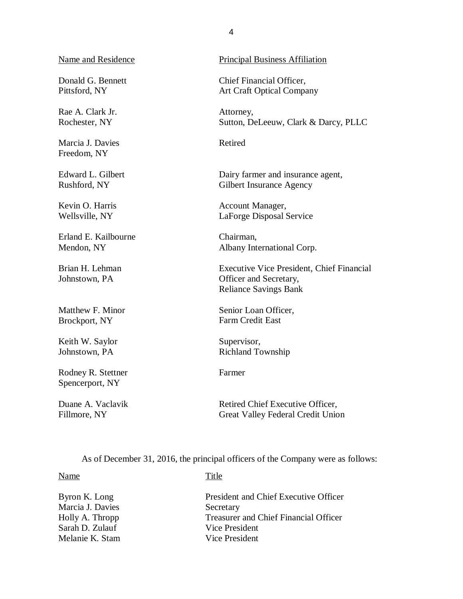#### Name and Residence

Donald G. Bennett Pittsford, NY

Rae A. Clark Jr. Rochester, NY

Marcia J. Davies Freedom, NY

Edward L. Gilbert Rushford, NY

Kevin O. Harris Wellsville, NY

Erland E. Kailbourne Mendon, NY

Brian H. Lehman Johnstown, PA

Matthew F. Minor Brockport, NY

Keith W. Saylor Johnstown, PA

Rodney R. Stettner Spencerport, NY

Duane A. Vaclavik Fillmore, NY

#### Principal Business Affiliation

Chief Financial Officer, Art Craft Optical Company

Attorney, Sutton, DeLeeuw, Clark & Darcy, PLLC

Retired

Dairy farmer and insurance agent, Gilbert Insurance Agency

Account Manager, LaForge Disposal Service

Chairman, Albany International Corp.

Executive Vice President, Chief Financial Officer and Secretary, Reliance Savings Bank

Senior Loan Officer, Farm Credit East

Supervisor, Richland Township

Farmer

Retired Chief Executive Officer, Great Valley Federal Credit Union

As of December 31, 2016, the principal officers of the Company were as follows:

Name Title

| Byron K. Long    | President and Chief Executive Officer |
|------------------|---------------------------------------|
| Marcia J. Davies | Secretary                             |
| Holly A. Thropp  | Treasurer and Chief Financial Officer |
| Sarah D. Zulauf  | Vice President                        |
| Melanie K. Stam  | Vice President                        |
|                  |                                       |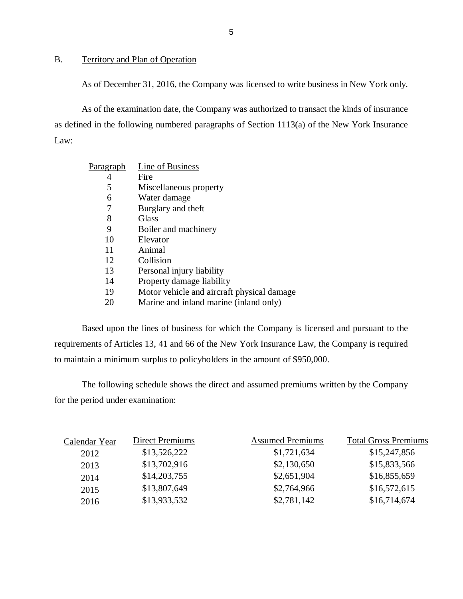#### B. Territory and Plan of Operation

As of December 31, 2016, the Company was licensed to write business in New York only.

As of the examination date, the Company was authorized to transact the kinds of insurance as defined in the following numbered paragraphs of Section 1113(a) of the New York Insurance Law:

| P <u>aragraph</u> | Line of Business                           |
|-------------------|--------------------------------------------|
| 4                 | Fire                                       |
| 5                 | Miscellaneous property                     |
| 6                 | Water damage                               |
| 7                 | Burglary and theft                         |
| 8                 | Glass                                      |
| 9                 | Boiler and machinery                       |
| 10                | Elevator                                   |
| 11                | Animal                                     |
| 12                | Collision                                  |
| 13                | Personal injury liability                  |
| 14                | Property damage liability                  |
| 19                | Motor vehicle and aircraft physical damage |
| 20                | Marine and inland marine (inland only)     |

Based upon the lines of business for which the Company is licensed and pursuant to the requirements of Articles 13, 41 and 66 of the New York Insurance Law, the Company is required to maintain a minimum surplus to policyholders in the amount of \$950,000.

The following schedule shows the direct and assumed premiums written by the Company for the period under examination:

| <b>Direct Premiums</b> | <b>Assumed Premiums</b> | <b>Total Gross Premiums</b> |
|------------------------|-------------------------|-----------------------------|
| \$13,526,222           | \$1,721,634             | \$15,247,856                |
| \$13,702,916           | \$2,130,650             | \$15,833,566                |
| \$14,203,755           | \$2,651,904             | \$16,855,659                |
| \$13,807,649           | \$2,764,966             | \$16,572,615                |
| \$13,933,532           | \$2,781,142             | \$16,714,674                |
|                        |                         |                             |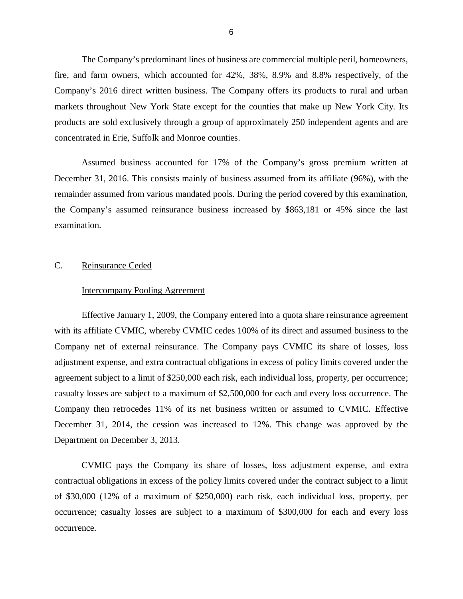<span id="page-7-0"></span>The Company's predominant lines of business are commercial multiple peril, homeowners, fire, and farm owners, which accounted for 42%, 38%, 8.9% and 8.8% respectively, of the Company's 2016 direct written business. The Company offers its products to rural and urban markets throughout New York State except for the counties that make up New York City. Its products are sold exclusively through a group of approximately 250 independent agents and are concentrated in Erie, Suffolk and Monroe counties.

Assumed business accounted for 17% of the Company's gross premium written at December 31, 2016. This consists mainly of business assumed from its affiliate (96%), with the remainder assumed from various mandated pools. During the period covered by this examination, the Company's assumed reinsurance business increased by \$863,181 or 45% since the last examination.

#### C. Reinsurance Ceded

#### Intercompany Pooling Agreement

Effective January 1, 2009, the Company entered into a quota share reinsurance agreement with its affiliate CVMIC, whereby CVMIC cedes 100% of its direct and assumed business to the Company net of external reinsurance. The Company pays CVMIC its share of losses, loss adjustment expense, and extra contractual obligations in excess of policy limits covered under the agreement subject to a limit of \$250,000 each risk, each individual loss, property, per occurrence; casualty losses are subject to a maximum of \$2,500,000 for each and every loss occurrence. The Company then retrocedes 11% of its net business written or assumed to CVMIC. Effective December 31, 2014, the cession was increased to 12%. This change was approved by the Department on December 3, 2013.

CVMIC pays the Company its share of losses, loss adjustment expense, and extra contractual obligations in excess of the policy limits covered under the contract subject to a limit of \$30,000 (12% of a maximum of \$250,000) each risk, each individual loss, property, per occurrence; casualty losses are subject to a maximum of \$300,000 for each and every loss occurrence.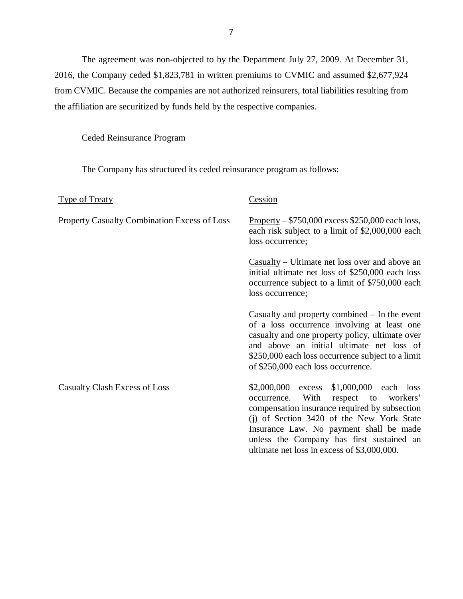The agreement was non-objected to by the Department July 27, 2009. At December 31, 2016, the Company ceded \$1,823,781 in written premiums to CVMIC and assumed \$2,677,924 from CVMIC. Because the companies are not authorized reinsurers, total liabilities resulting from the affiliation are securitized by funds held by the respective companies.

## Ceded Reinsurance Program

The Company has structured its ceded reinsurance program as follows:

| <b>Type of Treaty</b>                               | Cession                                                                                                                                                                                                                                                                                                                        |
|-----------------------------------------------------|--------------------------------------------------------------------------------------------------------------------------------------------------------------------------------------------------------------------------------------------------------------------------------------------------------------------------------|
| <b>Property Casualty Combination Excess of Loss</b> | $Property - $750,000$ excess \$250,000 each loss,<br>each risk subject to a limit of \$2,000,000 each<br>loss occurrence;                                                                                                                                                                                                      |
|                                                     | $\frac{1}{2}$ Casualty – Ultimate net loss over and above an<br>initial ultimate net loss of \$250,000 each loss<br>occurrence subject to a limit of \$750,000 each<br>loss occurrence;                                                                                                                                        |
|                                                     | Casualty and property combined $-$ In the event<br>of a loss occurrence involving at least one<br>casualty and one property policy, ultimate over<br>and above an initial ultimate net loss of<br>\$250,000 each loss occurrence subject to a limit<br>of \$250,000 each loss occurrence.                                      |
| Casualty Clash Excess of Loss                       | \$2,000,000 excess \$1,000,000 each loss<br>With<br>respect to<br>workers'<br>occurrence.<br>compensation insurance required by subsection<br>(i) of Section 3420 of the New York State<br>Insurance Law. No payment shall be made<br>unless the Company has first sustained an<br>ultimate net loss in excess of \$3,000,000. |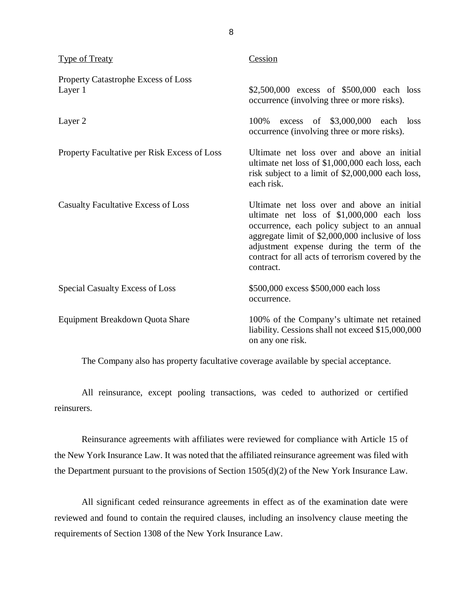| <b>Type of Treaty</b>                          | Cession                                                                                                                                                                                                                                                                                                      |
|------------------------------------------------|--------------------------------------------------------------------------------------------------------------------------------------------------------------------------------------------------------------------------------------------------------------------------------------------------------------|
| Property Catastrophe Excess of Loss<br>Layer 1 | \$2,500,000 excess of \$500,000 each loss<br>occurrence (involving three or more risks).                                                                                                                                                                                                                     |
| Layer 2                                        | \$3,000,000 each<br>100%<br>of<br>excess<br>loss<br>occurrence (involving three or more risks).                                                                                                                                                                                                              |
| Property Facultative per Risk Excess of Loss   | Ultimate net loss over and above an initial<br>ultimate net loss of \$1,000,000 each loss, each<br>risk subject to a limit of \$2,000,000 each loss,<br>each risk.                                                                                                                                           |
| <b>Casualty Facultative Excess of Loss</b>     | Ultimate net loss over and above an initial<br>ultimate net loss of \$1,000,000 each loss<br>occurrence, each policy subject to an annual<br>aggregate limit of \$2,000,000 inclusive of loss<br>adjustment expense during the term of the<br>contract for all acts of terrorism covered by the<br>contract. |
| Special Casualty Excess of Loss                | \$500,000 excess \$500,000 each loss<br>occurrence.                                                                                                                                                                                                                                                          |
| Equipment Breakdown Quota Share                | 100% of the Company's ultimate net retained<br>liability. Cessions shall not exceed \$15,000,000<br>on any one risk.                                                                                                                                                                                         |

The Company also has property facultative coverage available by special acceptance.

All reinsurance, except pooling transactions, was ceded to authorized or certified reinsurers.

Reinsurance agreements with affiliates were reviewed for compliance with Article 15 of the New York Insurance Law. It was noted that the affiliated reinsurance agreement was filed with the Department pursuant to the provisions of Section 1505(d)(2) of the New York Insurance Law.

All significant ceded reinsurance agreements in effect as of the examination date were reviewed and found to contain the required clauses, including an insolvency clause meeting the requirements of Section 1308 of the New York Insurance Law.

8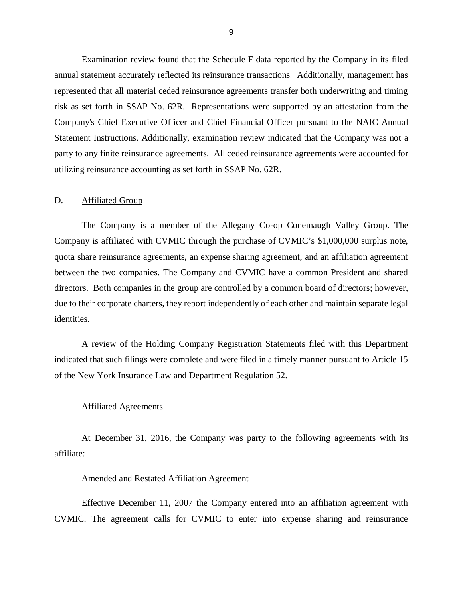<span id="page-10-0"></span>Examination review found that the Schedule F data reported by the Company in its filed annual statement accurately reflected its reinsurance transactions. Additionally, management has represented that all material ceded reinsurance agreements transfer both underwriting and timing risk as set forth in SSAP No. 62R. Representations were supported by an attestation from the Company's Chief Executive Officer and Chief Financial Officer pursuant to the NAIC Annual Statement Instructions. Additionally, examination review indicated that the Company was not a party to any finite reinsurance agreements. All ceded reinsurance agreements were accounted for utilizing reinsurance accounting as set forth in SSAP No. 62R.

#### D. Affiliated Group

The Company is a member of the Allegany Co-op Conemaugh Valley Group. The Company is affiliated with CVMIC through the purchase of CVMIC's \$1,000,000 surplus note, quota share reinsurance agreements, an expense sharing agreement, and an affiliation agreement between the two companies. The Company and CVMIC have a common President and shared directors. Both companies in the group are controlled by a common board of directors; however, due to their corporate charters, they report independently of each other and maintain separate legal identities.

A review of the Holding Company Registration Statements filed with this Department indicated that such filings were complete and were filed in a timely manner pursuant to Article 15 of the New York Insurance Law and Department Regulation 52.

#### Affiliated Agreements

At December 31, 2016, the Company was party to the following agreements with its affiliate:

#### Amended and Restated Affiliation Agreement

Effective December 11, 2007 the Company entered into an affiliation agreement with CVMIC. The agreement calls for CVMIC to enter into expense sharing and reinsurance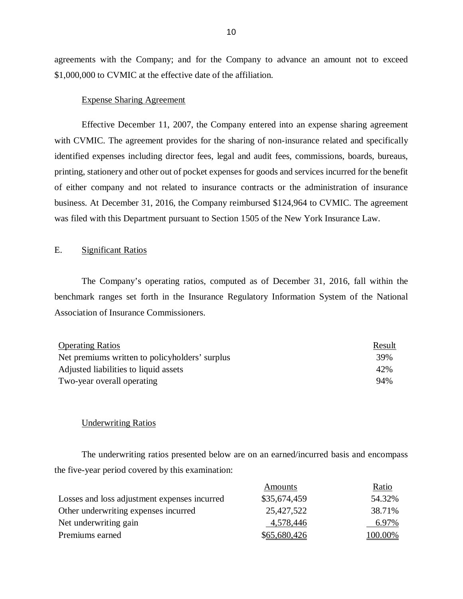agreements with the Company; and for the Company to advance an amount not to exceed \$1,000,000 to CVMIC at the effective date of the affiliation.

#### Expense Sharing Agreement

Effective December 11, 2007, the Company entered into an expense sharing agreement with CVMIC. The agreement provides for the sharing of non-insurance related and specifically identified expenses including director fees, legal and audit fees, commissions, boards, bureaus, printing, stationery and other out of pocket expenses for goods and services incurred for the benefit of either company and not related to insurance contracts or the administration of insurance business. At December 31, 2016, the Company reimbursed \$124,964 to CVMIC. The agreement was filed with this Department pursuant to Section 1505 of the New York Insurance Law.

#### E. Significant Ratios

The Company's operating ratios, computed as of December 31, 2016, fall within the benchmark ranges set forth in the Insurance Regulatory Information System of the National Association of Insurance Commissioners.

| <b>Operating Ratios</b>                        | Result |
|------------------------------------------------|--------|
| Net premiums written to policyholders' surplus | 39%    |
| Adjusted liabilities to liquid assets          | 42%    |
| Two-year overall operating                     | 94%    |

#### Underwriting Ratios

The underwriting ratios presented below are on an earned/incurred basis and encompass the five-year period covered by this examination:

|                                              | Amounts      | Ratio   |
|----------------------------------------------|--------------|---------|
| Losses and loss adjustment expenses incurred | \$35,674,459 | 54.32%  |
| Other underwriting expenses incurred         | 25,427,522   | 38.71%  |
| Net underwriting gain                        | 4,578,446    | 6.97%   |
| Premiums earned                              | \$65,680,426 | 100.00% |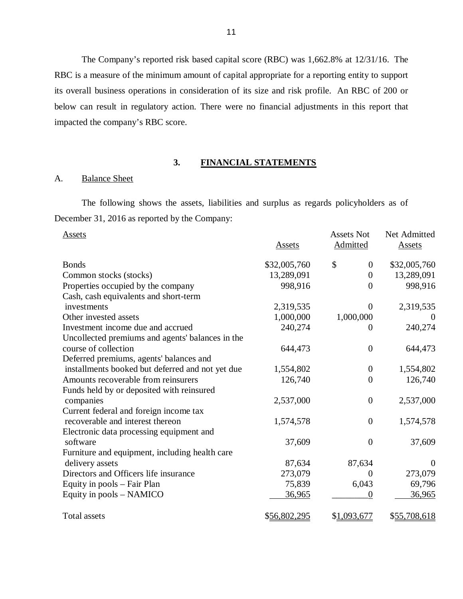The Company's reported risk based capital score (RBC) was 1,662.8% at 12/31/16. The RBC is a measure of the minimum amount of capital appropriate for a reporting entity to support its overall business operations in consideration of its size and risk profile. An RBC of 200 or below can result in regulatory action. There were no financial adjustments in this report that impacted the company's RBC score.

# **3. FINANCIAL STATEMENTS**

#### A. Balance Sheet

The following shows the assets, liabilities and surplus as regards policyholders as of December 31, 2016 as reported by the Company:

| Assets                                           |               | <b>Assets Not</b>  | Net Admitted  |
|--------------------------------------------------|---------------|--------------------|---------------|
|                                                  | <b>Assets</b> | <b>Admitted</b>    | <b>Assets</b> |
| <b>Bonds</b>                                     | \$32,005,760  | \$<br>$\mathbf{0}$ | \$32,005,760  |
| Common stocks (stocks)                           | 13,289,091    | $\theta$           | 13,289,091    |
| Properties occupied by the company               | 998,916       | $\theta$           | 998,916       |
| Cash, cash equivalents and short-term            |               |                    |               |
| investments                                      | 2,319,535     | $\Omega$           | 2,319,535     |
| Other invested assets                            | 1,000,000     | 1,000,000          |               |
| Investment income due and accrued                | 240,274       | $\Omega$           | 240,274       |
| Uncollected premiums and agents' balances in the |               |                    |               |
| course of collection                             | 644,473       | $\overline{0}$     | 644,473       |
| Deferred premiums, agents' balances and          |               |                    |               |
| installments booked but deferred and not yet due | 1,554,802     | $\mathbf{0}$       | 1,554,802     |
| Amounts recoverable from reinsurers              | 126,740       | $\overline{0}$     | 126,740       |
| Funds held by or deposited with reinsured        |               |                    |               |
| companies                                        | 2,537,000     | $\overline{0}$     | 2,537,000     |
| Current federal and foreign income tax           |               |                    |               |
| recoverable and interest thereon                 | 1,574,578     | $\boldsymbol{0}$   | 1,574,578     |
| Electronic data processing equipment and         |               |                    |               |
| software                                         | 37,609        | $\theta$           | 37,609        |
| Furniture and equipment, including health care   |               |                    |               |
| delivery assets                                  | 87,634        | 87,634             | $\theta$      |
| Directors and Officers life insurance            | 273,079       | $\Omega$           | 273,079       |
| Equity in pools – Fair Plan                      | 75,839        | 6,043              | 69,796        |
| Equity in pools – NAMICO                         | 36,965        | $\boldsymbol{0}$   | 36,965        |
| <b>Total assets</b>                              | \$56,802,295  | \$1,093,677        | \$55,708,618  |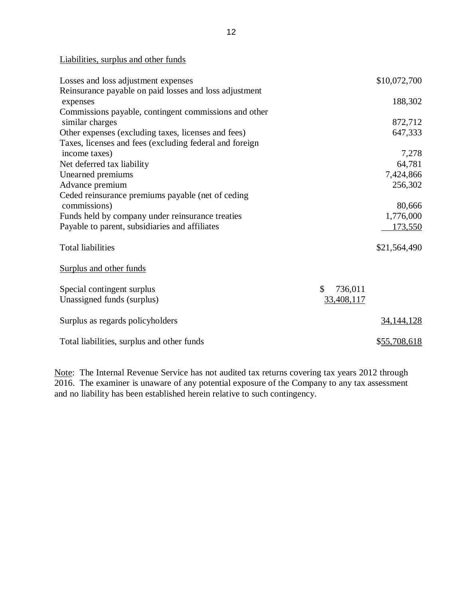Liabilities, surplus and other funds

| Losses and loss adjustment expenses                     |               | \$10,072,700 |
|---------------------------------------------------------|---------------|--------------|
| Reinsurance payable on paid losses and loss adjustment  |               |              |
| expenses                                                |               | 188,302      |
| Commissions payable, contingent commissions and other   |               |              |
| similar charges                                         |               | 872,712      |
| Other expenses (excluding taxes, licenses and fees)     |               | 647,333      |
| Taxes, licenses and fees (excluding federal and foreign |               |              |
| income taxes)                                           |               | 7,278        |
| Net deferred tax liability                              |               | 64,781       |
| Unearned premiums                                       |               | 7,424,866    |
| Advance premium                                         |               | 256,302      |
| Ceded reinsurance premiums payable (net of ceding       |               |              |
| commissions)                                            |               | 80,666       |
| Funds held by company under reinsurance treaties        |               | 1,776,000    |
| Payable to parent, subsidiaries and affiliates          |               | 173,550      |
|                                                         |               |              |
| <b>Total liabilities</b>                                |               | \$21,564,490 |
|                                                         |               |              |
| Surplus and other funds                                 |               |              |
|                                                         |               |              |
| Special contingent surplus                              | \$<br>736,011 |              |
| Unassigned funds (surplus)                              | 33,408,117    |              |
|                                                         |               |              |
| Surplus as regards policyholders                        |               | 34, 144, 128 |
|                                                         |               |              |
| Total liabilities, surplus and other funds              |               | \$55,708,618 |

Note: The Internal Revenue Service has not audited tax returns covering tax years 2012 through 2016. The examiner is unaware of any potential exposure of the Company to any tax assessment and no liability has been established herein relative to such contingency.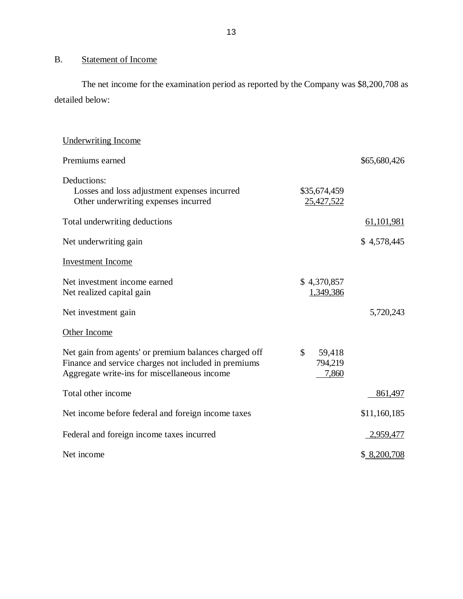# B. Statement of Income

The net income for the examination period as reported by the Company was \$8,200,708 as detailed below:

| <b>Underwriting Income</b>                                                                                                                                    |                                  |              |
|---------------------------------------------------------------------------------------------------------------------------------------------------------------|----------------------------------|--------------|
| Premiums earned                                                                                                                                               |                                  | \$65,680,426 |
| Deductions:<br>Losses and loss adjustment expenses incurred<br>Other underwriting expenses incurred                                                           | \$35,674,459<br>25,427,522       |              |
| Total underwriting deductions                                                                                                                                 |                                  | 61, 101, 981 |
| Net underwriting gain                                                                                                                                         |                                  | \$4,578,445  |
| <b>Investment Income</b>                                                                                                                                      |                                  |              |
| Net investment income earned<br>Net realized capital gain                                                                                                     | \$4,370,857<br>1,349,386         |              |
| Net investment gain                                                                                                                                           |                                  | 5,720,243    |
| Other Income                                                                                                                                                  |                                  |              |
| Net gain from agents' or premium balances charged off<br>Finance and service charges not included in premiums<br>Aggregate write-ins for miscellaneous income | \$<br>59,418<br>794,219<br>7,860 |              |
| Total other income                                                                                                                                            |                                  | 861,497      |
| Net income before federal and foreign income taxes                                                                                                            |                                  | \$11,160,185 |
| Federal and foreign income taxes incurred                                                                                                                     |                                  | 2,959,477    |
| Net income                                                                                                                                                    |                                  | \$ 8,200,708 |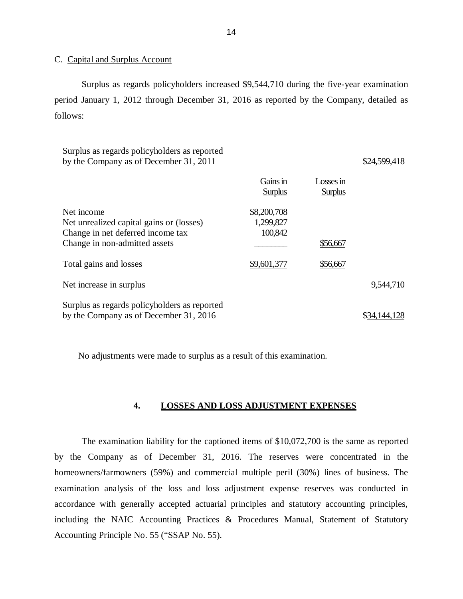#### C. Capital and Surplus Account

Surplus as regards policyholders increased \$9,544,710 during the five-year examination period January 1, 2012 through December 31, 2016 as reported by the Company, detailed as follows:

| Surplus as regards policyholders as reported<br>by the Company as of December 31, 2011                                       |                                     |                             | \$24,599,418 |
|------------------------------------------------------------------------------------------------------------------------------|-------------------------------------|-----------------------------|--------------|
|                                                                                                                              | Gains in<br><b>Surplus</b>          | Losses in<br><b>Surplus</b> |              |
| Net income<br>Net unrealized capital gains or (losses)<br>Change in net deferred income tax<br>Change in non-admitted assets | \$8,200,708<br>1,299,827<br>100,842 | \$56,667                    |              |
| Total gains and losses                                                                                                       | \$9,601,377                         | \$56,667                    |              |
| Net increase in surplus                                                                                                      |                                     |                             | 9,544,710    |
| Surplus as regards policyholders as reported<br>by the Company as of December 31, 2016                                       |                                     |                             |              |

No adjustments were made to surplus as a result of this examination.

#### **4. LOSSES AND LOSS ADJUSTMENT EXPENSES**

The examination liability for the captioned items of \$10,072,700 is the same as reported by the Company as of December 31, 2016. The reserves were concentrated in the homeowners/farmowners (59%) and commercial multiple peril (30%) lines of business. The examination analysis of the loss and loss adjustment expense reserves was conducted in accordance with generally accepted actuarial principles and statutory accounting principles, including the NAIC Accounting Practices & Procedures Manual, Statement of Statutory Accounting Principle No. 55 ("SSAP No. 55).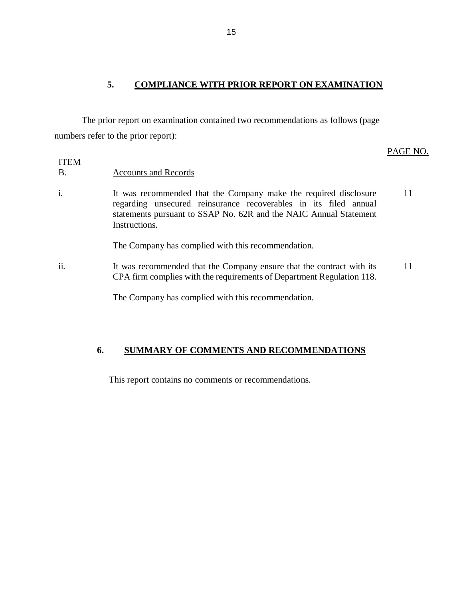# **5. COMPLIANCE WITH PRIOR REPORT ON EXAMINATION**

The prior report on examination contained two recommendations as follows (page numbers refer to the prior report):

#### PAGE NO.

#### ITEM B. Accounts and Records

i. It was recommended that the Company make the required disclosure regarding unsecured reinsurance recoverables in its filed annual statements pursuant to SSAP No. 62R and the NAIC Annual Statement Instructions. 11

The Company has complied with this recommendation.

ii. It was recommended that the Company ensure that the contract with its CPA firm complies with the requirements of Department Regulation 118. 11

The Company has complied with this recommendation.

# **6. SUMMARY OF COMMENTS AND RECOMMENDATIONS**

This report contains no comments or recommendations.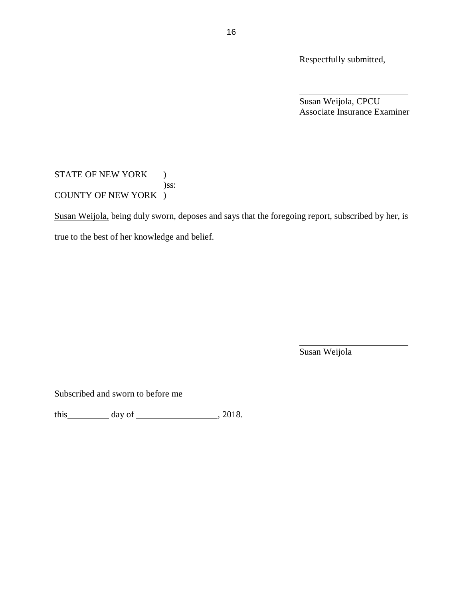Respectfully submitted,

Susan Weijola, CPCU Associate Insurance Examiner

# STATE OF NEW YORK ) )ss: COUNTY OF NEW YORK )

Susan Weijola, being duly sworn, deposes and says that the foregoing report, subscribed by her, is true to the best of her knowledge and belief.

Susan Weijola

Subscribed and sworn to before me

this day of , 2018.